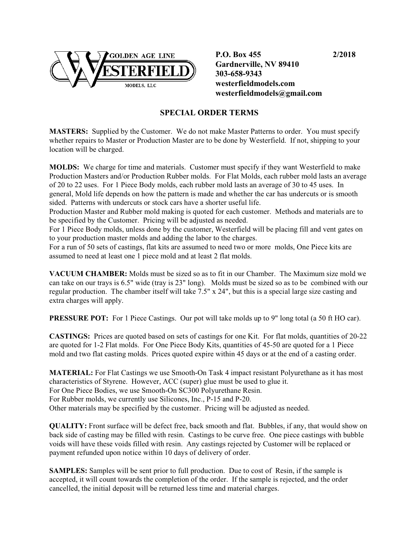

 **P.O. Box 455 2/2018 Gardnerville, NV 89410 303-658-9343 westerfieldmodels.com westerfieldmodels@gmail.com**

## **SPECIAL ORDER TERMS**

**MASTERS:** Supplied by the Customer. We do not make Master Patterns to order. You must specify whether repairs to Master or Production Master are to be done by Westerfield. If not, shipping to your location will be charged.

**MOLDS:** We charge for time and materials. Customer must specify if they want Westerfield to make Production Masters and/or Production Rubber molds. For Flat Molds, each rubber mold lasts an average of 20 to 22 uses. For 1 Piece Body molds, each rubber mold lasts an average of 30 to 45 uses. In general, Mold life depends on how the pattern is made and whether the car has undercuts or is smooth sided. Patterns with undercuts or stock cars have a shorter useful life.

Production Master and Rubber mold making is quoted for each customer. Methods and materials are to be specified by the Customer. Pricing will be adjusted as needed.

For 1 Piece Body molds, unless done by the customer, Westerfield will be placing fill and vent gates on to your production master molds and adding the labor to the charges.

For a run of 50 sets of castings, flat kits are assumed to need two or more molds, One Piece kits are assumed to need at least one 1 piece mold and at least 2 flat molds.

**VACUUM CHAMBER:** Molds must be sized so as to fit in our Chamber. The Maximum size mold we can take on our trays is 6.5" wide (tray is 23" long). Molds must be sized so as to be combined with our regular production. The chamber itself will take 7.5" x 24", but this is a special large size casting and extra charges will apply.

**PRESSURE POT:** For 1 Piece Castings. Our pot will take molds up to 9" long total (a 50 ft HO car).

**CASTINGS:** Prices are quoted based on sets of castings for one Kit. For flat molds, quantities of 20-22 are quoted for 1-2 Flat molds. For One Piece Body Kits, quantities of 45-50 are quoted for a 1 Piece mold and two flat casting molds. Prices quoted expire within 45 days or at the end of a casting order.

**MATERIAL:** For Flat Castings we use Smooth-On Task 4 impact resistant Polyurethane as it has most characteristics of Styrene. However, ACC (super) glue must be used to glue it. For One Piece Bodies, we use Smooth-On SC300 Polyurethane Resin. For Rubber molds, we currently use Silicones, Inc., P-15 and P-20. Other materials may be specified by the customer. Pricing will be adjusted as needed.

**QUALITY:** Front surface will be defect free, back smooth and flat. Bubbles, if any, that would show on back side of casting may be filled with resin. Castings to be curve free. One piece castings with bubble voids will have these voids filled with resin. Any castings rejected by Customer will be replaced or payment refunded upon notice within 10 days of delivery of order.

**SAMPLES:** Samples will be sent prior to full production. Due to cost of Resin, if the sample is accepted, it will count towards the completion of the order. If the sample is rejected, and the order cancelled, the initial deposit will be returned less time and material charges.